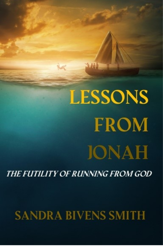# LESSONS **FROM JONAH**

上的

**i**st

THE FUTILITY OF RUNNING FROM GOD

# **SANDRA BIVENS SMITH**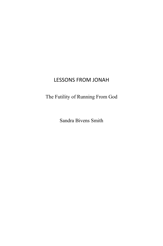### LESSONS FROM JONAH

## The Futility of Running From God

Sandra Bivens Smith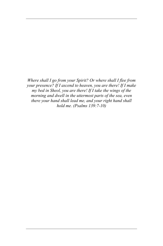*Where shall I go from your Spirit? Or where shall I flee from your presence? If I ascend to heaven, you are there! If I make my bed in Sheol, you are there! If I take the wings of the morning and dwell in the uttermost parts of the sea, even there your hand shall lead me, and your right hand shall hold me. (Psalms 139:7-10)*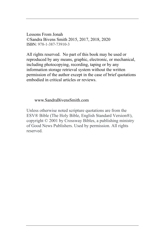Lessons From Jonah ©Sandra Bivens Smith 2015, 2017, 2018, 2020 ISBN: 978-1-387-73910-3

All rights reserved. No part of this book may be used or reproduced by any means, graphic, electronic, or mechanical, including photocopying, recording, taping or by any information storage retrieval system without the written permission of the author except in the case of brief quotations embodied in critical articles or reviews.

#### www.SandraBivensSmith.com

Unless otherwise noted scripture quotations are from the ESV® Bible (The Holy Bible, English Standard Version®), copyright © 2001 by Crossway Bibles, a publishing ministry of Good News Publishers. Used by permission. All rights reserved.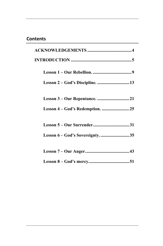#### **Contents**

| Lesson 6 – God's Sovereignty35 |
|--------------------------------|
|                                |
|                                |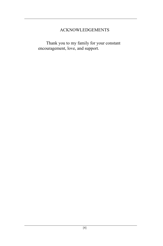#### ACKNOWLEDGEMENTS

<span id="page-9-0"></span>Thank you to my family for your constant encouragement, love, and support.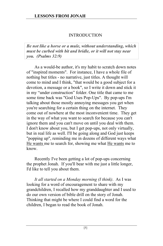#### INTRODUCTION

<span id="page-10-0"></span>*Be not like a horse or a mule, without understanding, which must be curbed with bit and bridle, or it will not stay near you. (Psalms 32:9)*

As a would-be author, it's my habit to scratch down notes of "inspired moments". For instance, I have a whole file of nothing but titles - no narrative, just titles. A thought will come to mind and I think, "that would be a good subject for a devotion, a message or a book", so I write it down and stick it in my "under construction" folder. One title that came to me some time back was "God Uses Pop-Ups". By pop-ups I'm talking about those mostly annoying messages you get when you're searching for a certain thing on the internet. They come out of nowhere at the most inconvenient time. They get in the way of what you want to search for because you can't ignore them and you can't move on until you deal with them. I don't know about you, but I get pop-ups, not only virtually, but in real life as well. I'll be going along and God just keeps "popping up", reminding me in dozens of different ways what He wants me to search for, showing me what He wants me to know.

Recently I've been getting a lot of pop-ups concerning the prophet Jonah. If you'll bear with me just a little longer, I'd like to tell you about them.

*It all started on a Monday morning (I think)*. As I was looking for a word of encouragement to share with my grandchildren, I recalled how my granddaughter and I used to do our own version of bible drill on the story of Jonah. Thinking that might be where I could find a word for the children, I began to read the book of Jonah.